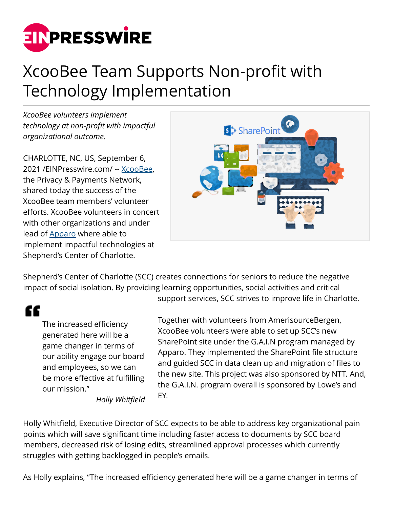

## XcooBee Team Supports Non-profit with Technology Implementation

*XcooBee volunteers implement technology at non-profit with impactful organizational outcome.*

CHARLOTTE, NC, US, September 6, 2021 /[EINPresswire.com](http://www.einpresswire.com)/ -- [XcooBee,](https://www.xcoobee.com) the Privacy & Payments Network, shared today the success of the XcooBee team members' volunteer efforts. XcooBee volunteers in concert with other organizations and under lead of **Apparo** where able to implement impactful technologies at Shepherd's Center of Charlotte.



Shepherd's Center of Charlotte (SCC) creates connections for seniors to reduce the negative impact of social isolation. By providing learning opportunities, social activities and critical support services, SCC strives to improve life in Charlotte.

## ££

The increased efficiency generated here will be a game changer in terms of our ability engage our board and employees, so we can be more effective at fulfilling our mission."

Together with volunteers from AmerisourceBergen, XcooBee volunteers were able to set up SCC's new SharePoint site under the G.A.I.N program managed by Apparo. They implemented the SharePoint file structure and guided SCC in data clean up and migration of files to the new site. This project was also sponsored by NTT. And, the G.A.I.N. program overall is sponsored by Lowe's and EY.

*Holly Whitfield*

Holly Whitfield, Executive Director of SCC expects to be able to address key organizational pain points which will save significant time including faster access to documents by SCC board members, decreased risk of losing edits, streamlined approval processes which currently struggles with getting backlogged in people's emails.

As Holly explains, "The increased efficiency generated here will be a game changer in terms of